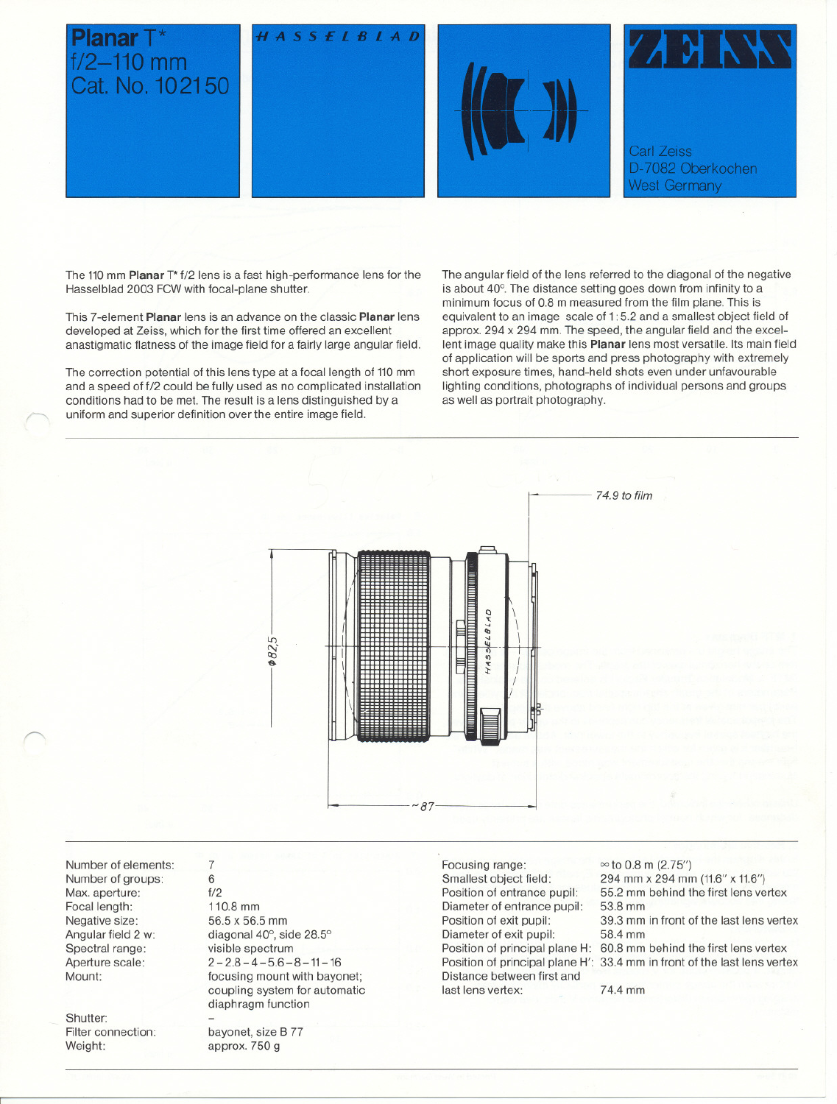

The 110 mm **Planar** T\* f/2 lens is a fast high-performance lens for the Hasselblad 2003 FCWwith focal-plane shutter.

This 7-element **Planar** jens is an advance on the classic **Planar** jens developed at Zeiss, which for the first time offered an excellent anastigmatic flatness of the image field for a fairly large angular field.

The correction potential of this lens type at a focal length of 110 mm and a speed of f/2 could be fully used as no complicated installation conditions had to be met. The result is a lens distinguished by a uniform and superior definition over the entire image field.

The angular field of the lens referred to the diagonal of the negative is about 40°. The distance setting goes down from infinity to a minimum focus of 0.8 m measured from the film plane. This is equivalent to an image scale of 1:5.2 and a smallest object fjeld of approx. 294 x 294 mm. The speed, the angular fjeld and the excellent image quality make this **Planar** lens most versatile. Its main field of application will be sports and press photography with extremely short exposure times, hand-held shots even under unfavourable lighting conditions, photographs of individual persons and groups as weil as portrait photography.



Number of elements: Number of groups: Max. aperture: Focal length: Negative size: Angular field 2 w: Spectral range: Aperture scale: Mount:

 $\sqrt{2}$ 

Shutter: Filter connection: Weight:

7 6 f/2 110.8 mm 56.5 x 56.5 mm diagonal 40°, side 28.5° visible spectrum  $2 - 2.8 - 4 - 5.6 - 8 - 11 - 16$ focusing mount with bayonet; coupling system for automatic diaphragm function

bayonet, size B 77 approx. 750 g

Focusing range: Smallest object field:

Position of entrance pupil: Diameter of entrance pupil: Position of exit pupil: Diameter of exit pupil: Distance between first and last lens vertex: 74.4 mm

#### $\infty$  to 0.8 m (2.75")

294 mm x 294 mm (11.6" x 11.6")

55.2 mm behind the first lens vertex 53.8 mm

39.3 mm in front of the last lens vertex 58.4 mm

Position of principal plane H: 60.8 mm behind the first lens vertex

Position of principal plane H': 33.4 mm in front of the last lens vertex